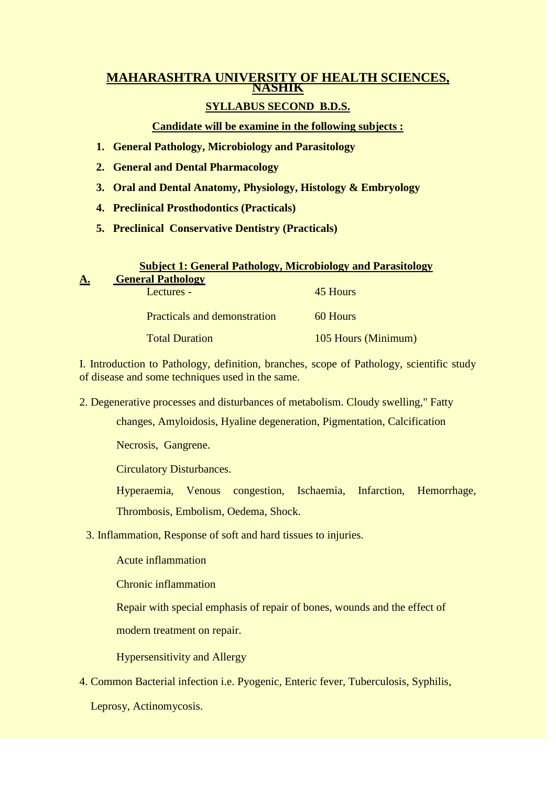# **MAHARASHTRA UNIVERSITY OF HEALTH SCIENCES, NASHIK**

## **SYLLABUS SECOND B.D.S.**

## **Candidate will be examine in the following subjects :**

- **1. General Pathology, Microbiology and Parasitology**
- **2. General and Dental Pharmacology**
- **3. Oral and Dental Anatomy, Physiology, Histology & Embryology**
- **4. Preclinical Prosthodontics (Practicals)**
- **5. Preclinical Conservative Dentistry (Practicals)**

| <b>Subject 1: General Pathology, Microbiology and Parasitology</b> |                                     |                     |  |
|--------------------------------------------------------------------|-------------------------------------|---------------------|--|
| A                                                                  | <b>General Pathology</b>            |                     |  |
|                                                                    | Lectures -                          | 45 Hours            |  |
|                                                                    |                                     |                     |  |
|                                                                    | <b>Practicals and demonstration</b> | 60 Hours            |  |
|                                                                    | <b>Total Duration</b>               |                     |  |
|                                                                    |                                     | 105 Hours (Minimum) |  |

I. Introduction to Pathology, definition, branches, scope of Pathology, scientific study of disease and some techniques used in the same.

2. Degenerative processes and disturbances of metabolism. Cloudy swelling," Fatty

changes, Amyloidosis, Hyaline degeneration, Pigmentation, Calcification

Necrosis, Gangrene.

Circulatory Disturbances.

Hyperaemia, Venous congestion, Ischaemia, Infarction, Hemorrhage,

Thrombosis, Embolism, Oedema, Shock.

3. Inflammation, Response of soft and hard tissues to injuries.

Acute inflammation

Chronic inflammation

Repair with special emphasis of repair of bones, wounds and the effect of

modern treatment on repair.

Hypersensitivity and Allergy

4. Common Bacterial infection i.e. Pyogenic, Enteric fever, Tuberculosis, Syphilis,

Leprosy, Actinomycosis.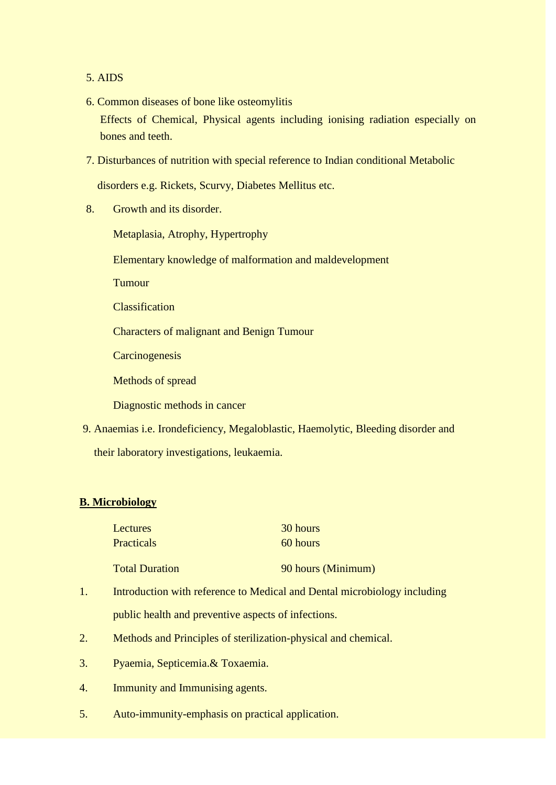## 5. AIDS

- 6. Common diseases of bone like osteomylitis Effects of Chemical, Physical agents including ionising radiation especially on bones and teeth.
- 7. Disturbances of nutrition with special reference to Indian conditional Metabolic

disorders e.g. Rickets, Scurvy, Diabetes Mellitus etc.

8. Growth and its disorder.

Metaplasia, Atrophy, Hypertrophy

Elementary knowledge of malformation and maldevelopment

**Tumour** 

Classification

Characters of malignant and Benign Tumour

**Carcinogenesis** 

Methods of spread

Diagnostic methods in cancer

9. Anaemias i.e. Irondeficiency, Megaloblastic, Haemolytic, Bleeding disorder and their laboratory investigations, leukaemia.

### **B. Microbiology**

| Lectures              | 30 hours           |
|-----------------------|--------------------|
| <b>Practicals</b>     | 60 hours           |
| <b>Total Duration</b> | 90 hours (Minimum) |

- 1. Introduction with reference to Medical and Dental microbiology including public health and preventive aspects of infections.
- 2. Methods and Principles of sterilization-physical and chemical.
- 3. Pyaemia, Septicemia.& Toxaemia.
- 4. Immunity and Immunising agents.
- 5. Auto-immunity-emphasis on practical application.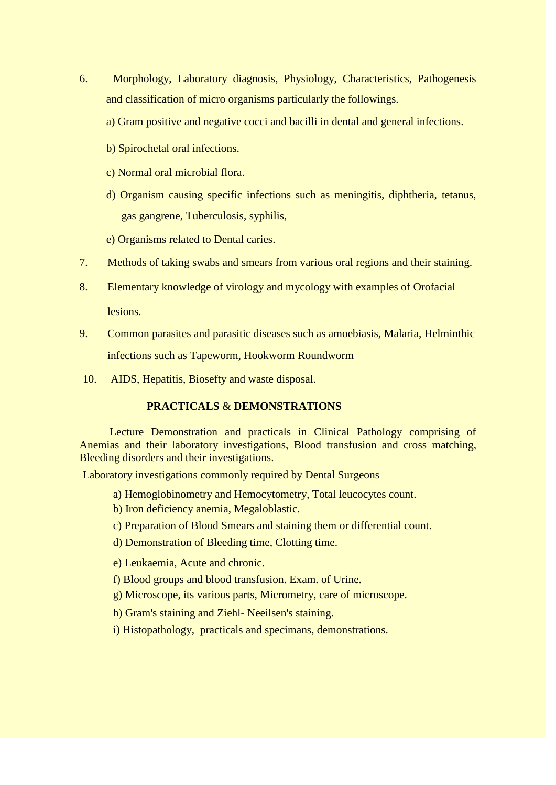- 6. Morphology, Laboratory diagnosis, Physiology, Characteristics, Pathogenesis and classification of micro organisms particularly the followings.
	- a) Gram positive and negative cocci and bacilli in dental and general infections.
	- b) Spirochetal oral infections.
	- c) Normal oral microbial flora.
	- d) Organism causing specific infections such as meningitis, diphtheria, tetanus, gas gangrene, Tuberculosis, syphilis,
	- e) Organisms related to Dental caries.
- 7. Methods of taking swabs and smears from various oral regions and their staining.
- 8. Elementary knowledge of virology and mycology with examples of Orofacial lesions.
- 9. Common parasites and parasitic diseases such as amoebiasis, Malaria, Helminthic infections such as Tapeworm, Hookworm Roundworm
- 10. AIDS, Hepatitis, Biosefty and waste disposal.

## **PRACTICALS** & **DEMONSTRATIONS**

Lecture Demonstration and practicals in Clinical Pathology comprising of Anemias and their laboratory investigations, Blood transfusion and cross matching, Bleeding disorders and their investigations.

Laboratory investigations commonly required by Dental Surgeons

- a) Hemoglobinometry and Hemocytometry, Total leucocytes count.
- b) Iron deficiency anemia, Megaloblastic.
- c) Preparation of Blood Smears and staining them or differential count.
- d) Demonstration of Bleeding time, Clotting time.
- e) Leukaemia, Acute and chronic.
- f) Blood groups and blood transfusion. Exam. of Urine.
- g) Microscope, its various parts, Micrometry, care of microscope.
- h) Gram's staining and Ziehl- Neeilsen's staining.
- i) Histopathology, practicals and specimans, demonstrations.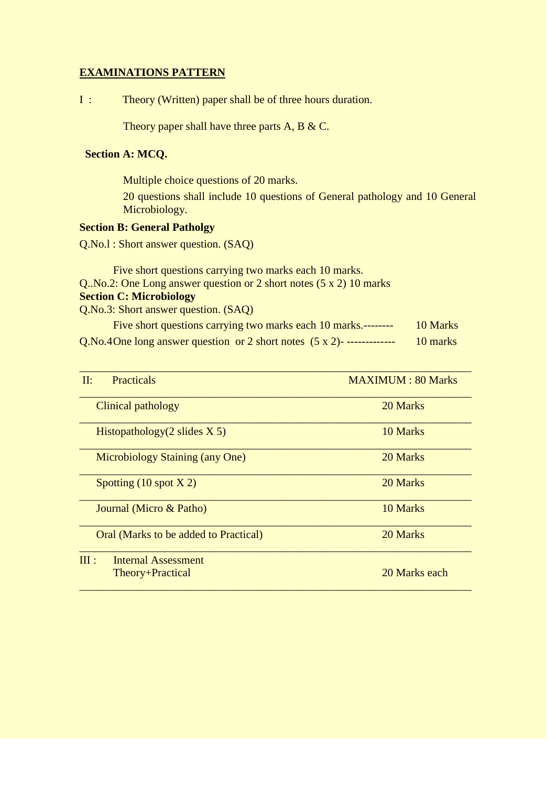## **EXAMINATIONS PATTERN**

I : Theory (Written) paper shall be of three hours duration.

Theory paper shall have three parts A, B & C.

### **Section A: MCQ.**

Multiple choice questions of 20 marks.

20 questions shall include 10 questions of General pathology and 10 General Microbiology.

## **Section B: General Patholgy**

Q.No.l : Short answer question. (SAQ)

Five short questions carrying two marks each 10 marks. Q..No.2: One Long answer question or 2 short notes (5 x 2) 10 marks **Section C: Microbiology** Q.No.3: Short answer question. (SAQ)

| Five short questions carrying two marks each 10 marks.--------               | 10 Marks |
|------------------------------------------------------------------------------|----------|
| Q.No.4One long answer question or 2 short notes $(5 \times 2)$ ------------- | 10 marks |

| $\Pi$ :<br><b>Practicals</b>                    | <b>MAXIMUM: 80 Marks</b> |
|-------------------------------------------------|--------------------------|
| Clinical pathology                              | 20 Marks                 |
| Histopathology $(2 \text{ slides } X 5)$        | 10 Marks                 |
| <b>Microbiology Staining (any One)</b>          | 20 Marks                 |
| Spotting $(10 \text{ spot X } 2)$               | 20 Marks                 |
| Journal (Micro & Patho)                         | 10 Marks                 |
| Oral (Marks to be added to Practical)           | 20 Marks                 |
| III:<br>Internal Assessment<br>Theory+Practical | 20 Marks each            |
|                                                 |                          |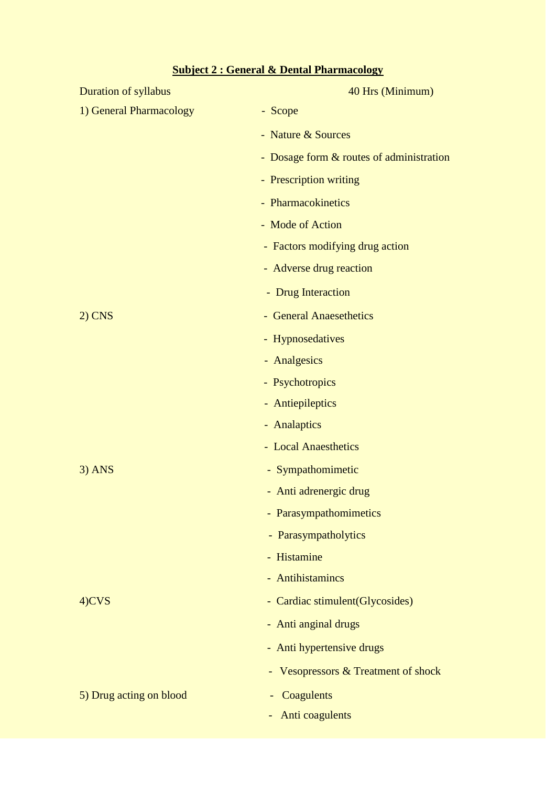| Duration of syllabus    | 40 Hrs (Minimum)                         |
|-------------------------|------------------------------------------|
| 1) General Pharmacology | - Scope                                  |
|                         | - Nature & Sources                       |
|                         | - Dosage form & routes of administration |
|                         | - Prescription writing                   |
|                         | - Pharmacokinetics                       |
|                         | - Mode of Action                         |
|                         | - Factors modifying drug action          |
|                         | - Adverse drug reaction                  |
|                         | - Drug Interaction                       |
| $2)$ CNS                | - General Anaesethetics                  |
|                         | - Hypnosedatives                         |
|                         | - Analgesics                             |
|                         | - Psychotropics                          |
|                         | - Antiepileptics                         |
|                         | - Analaptics                             |
|                         | - Local Anaesthetics                     |
| $3)$ ANS                | - Sympathomimetic                        |
|                         | - Anti adrenergic drug                   |
|                         | - Parasympathomimetics                   |
|                         | - Parasympatholytics                     |
|                         | - Histamine                              |
|                         | - Antihistamincs                         |
| 4)CVS                   | - Cardiac stimulent(Glycosides)          |
|                         | - Anti anginal drugs                     |
|                         | - Anti hypertensive drugs                |
|                         | - Vesopressors & Treatment of shock      |
| 5) Drug acting on blood | Coagulents                               |
|                         | Anti coagulents                          |

# **Subject 2 : General & Dental Pharmacology**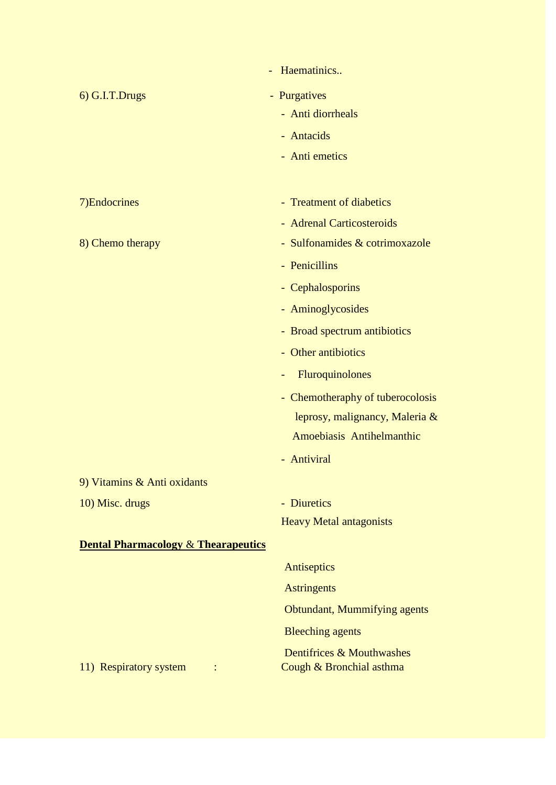|                                                | Haematinics                                           |
|------------------------------------------------|-------------------------------------------------------|
| 6) G.I.T.Drugs                                 | - Purgatives                                          |
|                                                | - Anti diorrheals                                     |
|                                                | - Antacids                                            |
|                                                | - Anti emetics                                        |
|                                                |                                                       |
| 7) Endocrines                                  | - Treatment of diabetics                              |
|                                                | - Adrenal Carticosteroids                             |
| 8) Chemo therapy                               | - Sulfonamides & cotrimoxazole                        |
|                                                | - Penicillins                                         |
|                                                | - Cephalosporins                                      |
|                                                | - Aminoglycosides                                     |
|                                                | - Broad spectrum antibiotics                          |
|                                                | - Other antibiotics                                   |
|                                                | Fluroquinolones                                       |
|                                                | - Chemotheraphy of tuberocolosis                      |
|                                                | leprosy, malignancy, Maleria &                        |
|                                                | Amoebiasis Antihelmanthic                             |
|                                                | - Antiviral                                           |
| 9) Vitamins & Anti oxidants                    |                                                       |
| 10) Misc. drugs                                | - Diuretics                                           |
|                                                | <b>Heavy Metal antagonists</b>                        |
| <b>Dental Pharmacology &amp; Thearapeutics</b> |                                                       |
|                                                | Antiseptics                                           |
|                                                | <b>Astringents</b>                                    |
|                                                | Obtundant, Mummifying agents                          |
|                                                | <b>Bleeching agents</b>                               |
| 11) Respiratory system                         | Dentifrices & Mouthwashes<br>Cough & Bronchial asthma |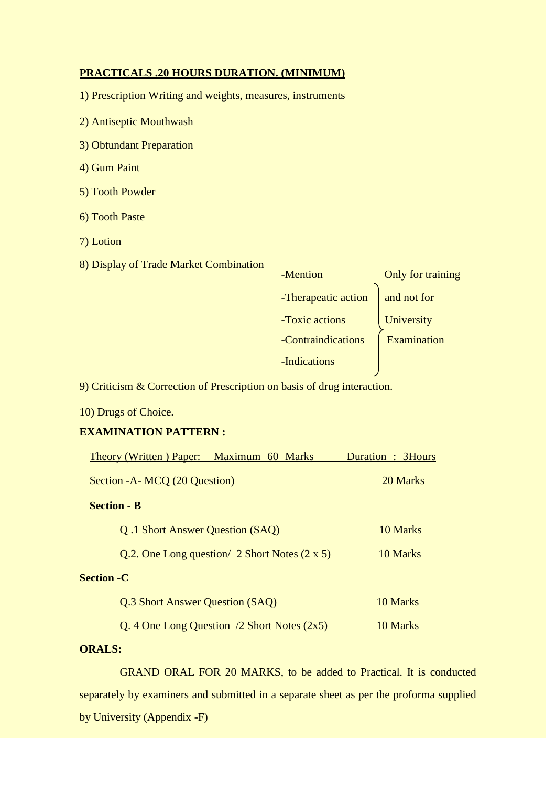#### **PRACTICALS .20 HOURS DURATION. (MINIMUM)**

1) Prescription Writing and weights, measures, instruments

- 2) Antiseptic Mouthwash
- 3) Obtundant Preparation
- 4) Gum Paint
- 5) Tooth Powder
- 6) Tooth Paste
- 7) Lotion
- 8) Display of Trade Market Combination

| -Mention            | Only for training |
|---------------------|-------------------|
| -Therapeatic action | and not for       |
| -Toxic actions      | University        |
| -Contraindications  | Examination       |
| -Indications        |                   |

9) Criticism & Correction of Prescription on basis of drug interaction.

10) Drugs of Choice.

## **EXAMINATION PATTERN :**

|                               | Theory (Written) Paper: Maximum 60 Marks              | Duration : 3Hours |  |  |
|-------------------------------|-------------------------------------------------------|-------------------|--|--|
| Section - A MCQ (20 Question) |                                                       | 20 Marks          |  |  |
| <b>Section - B</b>            |                                                       |                   |  |  |
|                               | Q.1 Short Answer Question (SAQ)                       | 10 Marks          |  |  |
|                               | Q.2. One Long question $2$ Short Notes $(2 \times 5)$ | 10 Marks          |  |  |
| <b>Section -C</b>             |                                                       |                   |  |  |
|                               | Q.3 Short Answer Question (SAQ)                       | 10 Marks          |  |  |
|                               | Q. 4 One Long Question $/2$ Short Notes $(2x5)$       | 10 Marks          |  |  |
|                               |                                                       |                   |  |  |

## **ORALS:**

GRAND ORAL FOR 20 MARKS, to be added to Practical. It is conducted separately by examiners and submitted in a separate sheet as per the proforma supplied by University (Appendix -F)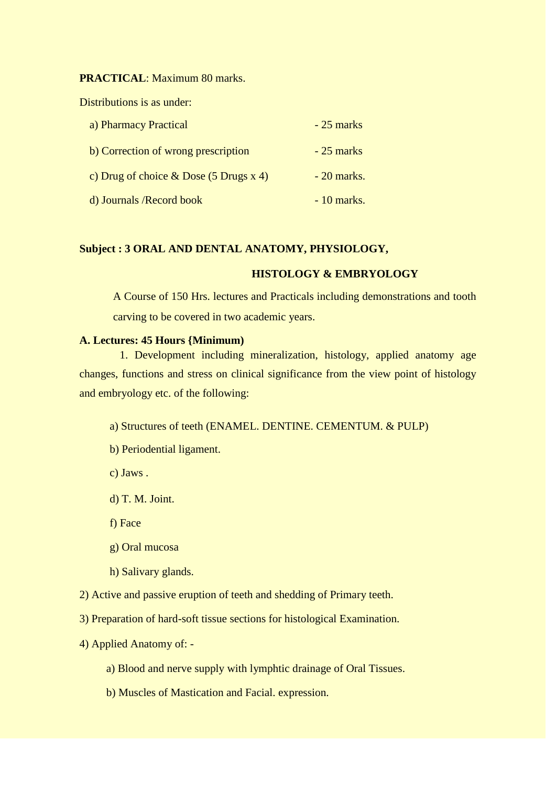**PRACTICAL**: Maximum 80 marks.

Distributions is as under:

| a) Pharmacy Practical                    | $-25$ marks  |
|------------------------------------------|--------------|
| b) Correction of wrong prescription      | $-25$ marks  |
| c) Drug of choice $& Does (5 Drugs x 4)$ | $-20$ marks. |
| d) Journals / Record book                | $-10$ marks. |

#### **Subject : 3 ORAL AND DENTAL ANATOMY, PHYSIOLOGY,**

### **HISTOLOGY & EMBRYOLOGY**

A Course of 150 Hrs. lectures and Practicals including demonstrations and tooth carving to be covered in two academic years.

#### **A. Lectures: 45 Hours {Minimum)**

1. Development including mineralization, histology, applied anatomy age changes, functions and stress on clinical significance from the view point of histology and embryology etc. of the following:

a) Structures of teeth (ENAMEL. DENTINE. CEMENTUM. & PULP)

- b) Periodential ligament.
- c) Jaws .
- d) T. M. Joint.
- f) Face
- g) Oral mucosa
- h) Salivary glands.
- 2) Active and passive eruption of teeth and shedding of Primary teeth.
- 3) Preparation of hard-soft tissue sections for histological Examination.
- 4) Applied Anatomy of:
	- a) Blood and nerve supply with lymphtic drainage of Oral Tissues.
	- b) Muscles of Mastication and Facial. expression.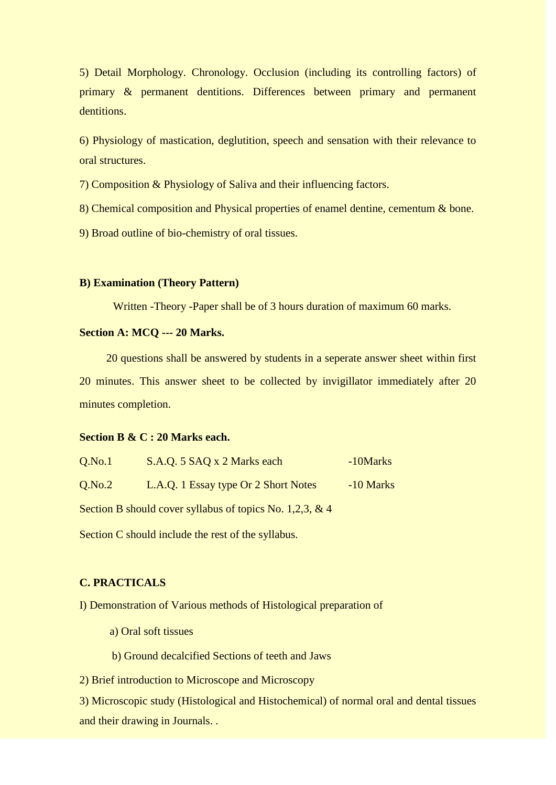5) Detail Morphology. Chronology. Occlusion (including its controlling factors) of primary & permanent dentitions. Differences between primary and permanent dentitions.

6) Physiology of mastication, deglutition, speech and sensation with their relevance to oral structures.

7) Composition & Physiology of Saliva and their influencing factors.

8) Chemical composition and Physical properties of enamel dentine, cementum & bone.

9) Broad outline of bio-chemistry of oral tissues.

#### **B) Examination (Theory Pattern)**

Written -Theory -Paper shall be of 3 hours duration of maximum 60 marks.

#### **Section A: MCQ --- 20 Marks.**

20 questions shall be answered by students in a seperate answer sheet within first 20 minutes. This answer sheet to be collected by invigillator immediately after 20 minutes completion.

#### **Section B & C : 20 Marks each.**

| Q.No.1 | S.A.Q. 5 SAQ x 2 Marks each                              | -10Marks    |
|--------|----------------------------------------------------------|-------------|
| Q.No.2 | L.A.Q. 1 Essay type Or 2 Short Notes                     | $-10$ Marks |
|        | Section B should cover syllabus of topics No. 1,2,3, & 4 |             |

Section C should include the rest of the syllabus.

## **C. PRACTICALS**

I) Demonstration of Various methods of Histological preparation of

a) Oral soft tissues

b) Ground decalcified Sections of teeth and Jaws

2) Brief introduction to Microscope and Microscopy

3) Microscopic study (Histological and Histochemical) of normal oral and dental tissues and their drawing in Journals. .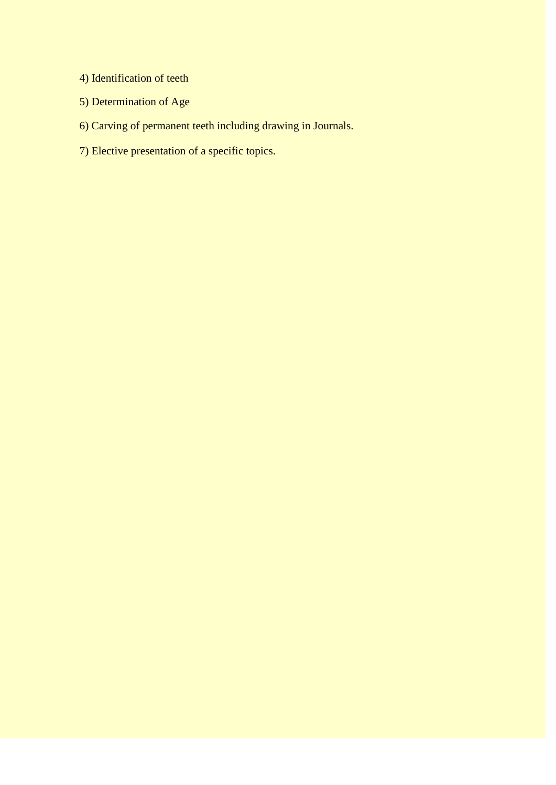- 4) Identification of teeth
- 5) Determination of Age
- 6) Carving of permanent teeth including drawing in Journals.
- 7) Elective presentation of a specific topics.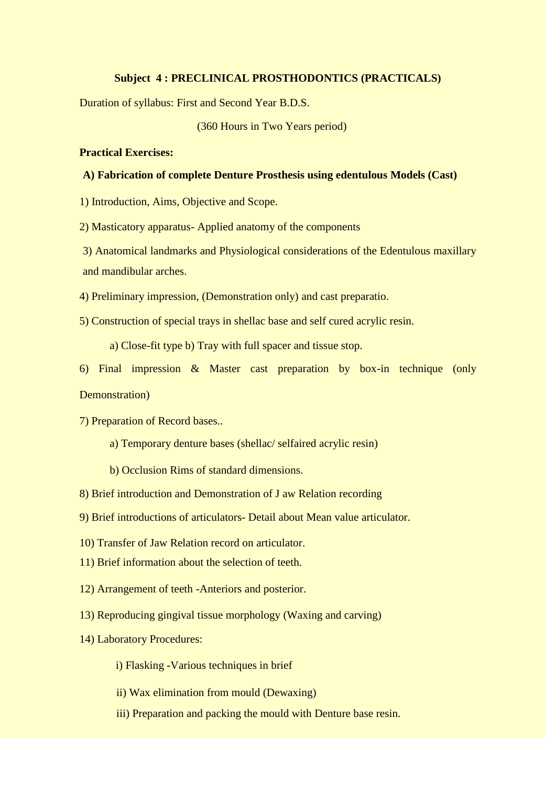#### **Subject 4 : PRECLINICAL PROSTHODONTICS (PRACTICALS)**

Duration of syllabus: First and Second Year B.D.S.

(360 Hours in Two Years period)

#### **Practical Exercises:**

#### **A) Fabrication of complete Denture Prosthesis using edentulous Models (Cast)**

1) Introduction, Aims, Objective and Scope.

2) Masticatory apparatus- Applied anatomy of the components

3) Anatomical landmarks and Physiological considerations of the Edentulous maxillary and mandibular arches.

4) Preliminary impression, (Demonstration only) and cast preparatio.

5) Construction of special trays in shellac base and self cured acrylic resin.

a) Close-fit type b) Tray with full spacer and tissue stop.

6) Final impression & Master cast preparation by box-in technique (only Demonstration)

7) Preparation of Record bases..

- a) Temporary denture bases (shellac/ selfaired acrylic resin)
- b) Occlusion Rims of standard dimensions.

8) Brief introduction and Demonstration of J aw Relation recording

9) Brief introductions of articulators- Detail about Mean value articulator.

10) Transfer of Jaw Relation record on articulator.

11) Brief information about the selection of teeth.

- 12) Arrangement of teeth -Anteriors and posterior.
- 13) Reproducing gingival tissue morphology (Waxing and carving)
- 14) Laboratory Procedures:

i) Flasking -Various techniques in brief

ii) Wax elimination from mould (Dewaxing)

iii) Preparation and packing the mould with Denture base resin.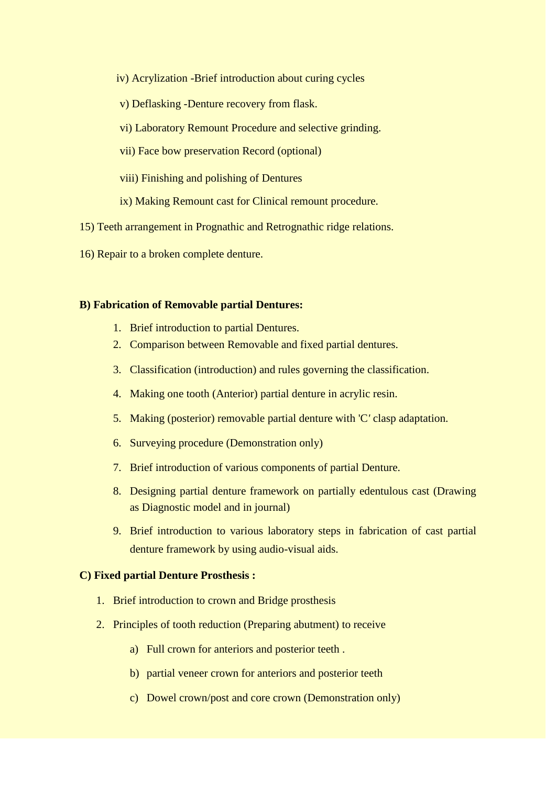- iv) Acrylization -Brief introduction about curing cycles
- v) Deflasking -Denture recovery from flask.
- vi) Laboratory Remount Procedure and selective grinding.
- vii) Face bow preservation Record (optional)
- viii) Finishing and polishing of Dentures
- ix) Making Remount cast for Clinical remount procedure.
- 15) Teeth arrangement in Prognathic and Retrognathic ridge relations.
- 16) Repair to a broken complete denture.

#### **B) Fabrication of Removable partial Dentures:**

- 1. Brief introduction to partial Dentures.
- 2. Comparison between Removable and fixed partial dentures.
- 3. Classification (introduction) and rules governing the classification.
- 4. Making one tooth (Anterior) partial denture in acrylic resin.
- 5. Making (posterior) removable partial denture with 'C*'* clasp adaptation.
- 6. Surveying procedure (Demonstration only)
- 7. Brief introduction of various components of partial Denture.
- 8. Designing partial denture framework on partially edentulous cast (Drawing as Diagnostic model and in journal)
- 9. Brief introduction to various laboratory steps in fabrication of cast partial denture framework by using audio-visual aids.

## **C) Fixed partial Denture Prosthesis :**

- 1. Brief introduction to crown and Bridge prosthesis
- 2. Principles of tooth reduction (Preparing abutment) to receive
	- a) Full crown for anteriors and posterior teeth .
	- b) partial veneer crown for anteriors and posterior teeth
	- c) Dowel crown/post and core crown (Demonstration only)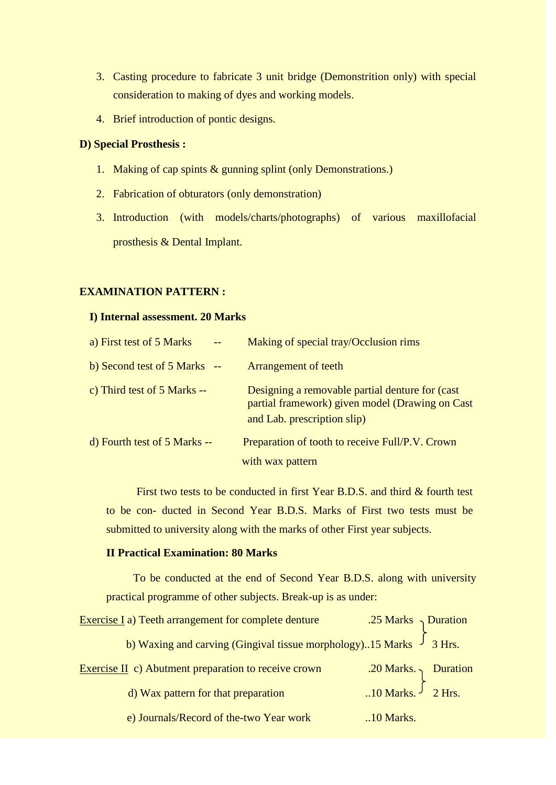- 3. Casting procedure to fabricate 3 unit bridge (Demonstrition only) with special consideration to making of dyes and working models.
- 4. Brief introduction of pontic designs.

## **D) Special Prosthesis :**

- 1. Making of cap spints & gunning splint (only Demonstrations.)
- 2. Fabrication of obturators (only demonstration)
- 3. Introduction (with models/charts/photographs) of various maxillofacial prosthesis & Dental Implant.

## **EXAMINATION PATTERN :**

#### **I) Internal assessment. 20 Marks**

| a) First test of 5 Marks     | Making of special tray/Occlusion rims                                                                                             |
|------------------------------|-----------------------------------------------------------------------------------------------------------------------------------|
| b) Second test of 5 Marks -- | <b>Arrangement of teeth</b>                                                                                                       |
| c) Third test of 5 Marks --  | Designing a removable partial denture for (cast<br>partial framework) given model (Drawing on Cast<br>and Lab. prescription slip) |
| d) Fourth test of 5 Marks -- | Preparation of tooth to receive Full/P.V. Crown                                                                                   |
|                              | with wax pattern                                                                                                                  |

First two tests to be conducted in first Year B.D.S. and third & fourth test to be con- ducted in Second Year B.D.S. Marks of First two tests must be submitted to university along with the marks of other First year subjects.

## **II Practical Examination: 80 Marks**

To be conducted at the end of Second Year B.D.S. along with university practical programme of other subjects. Break-up is as under:

| <b>Exercise I</b> a) Teeth arrangement for complete denture               | .25 Marks $\gamma$ Duration                                               |  |
|---------------------------------------------------------------------------|---------------------------------------------------------------------------|--|
| b) Waxing and carving (Gingival tissue morphology)15 Marks $\int 3 Hrs$ . |                                                                           |  |
| Exercise II c) Abutment preparation to receive crown                      | .20 Marks. $\left.\right\}$ Duration<br>10 Marks. $\left.\right\}$ 2 Hrs. |  |
| d) Wax pattern for that preparation                                       |                                                                           |  |
| e) Journals/Record of the-two Year work                                   | $.10$ Marks.                                                              |  |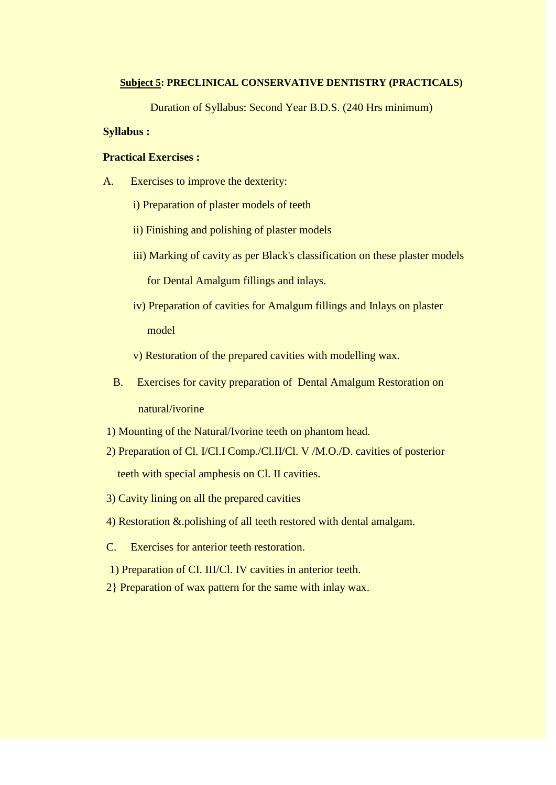#### **Subject 5: PRECLINICAL CONSERVATIVE DENTISTRY (PRACTICALS)**

Duration of Syllabus: Second Year B.D.S. (240 Hrs minimum)

## **Syllabus :**

#### **Practical Exercises :**

- A. Exercises to improve the dexterity:
	- i) Preparation of plaster models of teeth
	- ii) Finishing and polishing of plaster models
	- iii) Marking of cavity as per Black's classification on these plaster models

for Dental Amalgum fillings and inlays.

- iv) Preparation of cavities for Amalgum fillings and Inlays on plaster model
- v) Restoration of the prepared cavities with modelling wax.
- B. Exercises for cavity preparation of Dental Amalgum Restoration on natural/ivorine
- 1) Mounting of the Natural/Ivorine teeth on phantom head.
- 2) Preparation of Cl. I/Cl.I Comp./Cl.II/Cl. V /M.O./D. cavities of posterior teeth with special amphesis on Cl. II cavities.
- 3) Cavity lining on all the prepared cavities
- 4) Restoration &.polishing of all teeth restored with dental amalgam.
- C. Exercises for anterior teeth restoration.
- 1) Preparation of CI. III/Cl. IV cavities in anterior teeth.
- 2} Preparation of wax pattern for the same with inlay wax.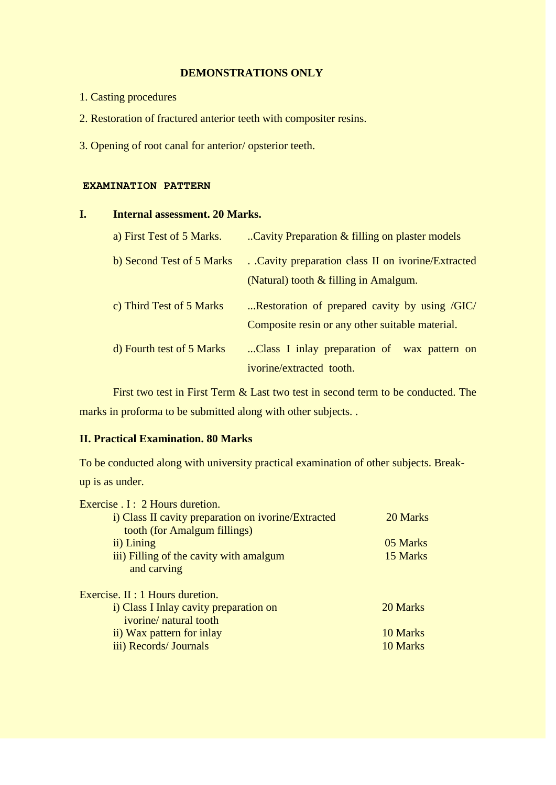## **DEMONSTRATIONS ONLY**

- 1. Casting procedures
- 2. Restoration of fractured anterior teeth with compositer resins.
- 3. Opening of root canal for anterior/ opsterior teeth.

#### **EXAMINATION PATTERN**

## **I. Internal assessment. 20 Marks.**

| a) First Test of 5 Marks. | Cavity Preparation & filling on plaster models     |
|---------------------------|----------------------------------------------------|
| b) Second Test of 5 Marks | . Cavity preparation class II on ivorine/Extracted |
|                           | (Natural) tooth & filling in Amalgum.              |
| c) Third Test of 5 Marks  | Restoration of prepared cavity by using /GIC/      |
|                           | Composite resin or any other suitable material.    |
| d) Fourth test of 5 Marks | Class I inlay preparation of wax pattern on        |
|                           | ivorine/extracted tooth.                           |

First two test in First Term & Last two test in second term to be conducted. The marks in proforma to be submitted along with other subjects. .

## **II. Practical Examination. 80 Marks**

To be conducted along with university practical examination of other subjects. Breakup is as under.

| Exercise . I : 2 Hours duretion.                    |          |
|-----------------------------------------------------|----------|
| i) Class II cavity preparation on ivorine/Extracted | 20 Marks |
| tooth (for Amalgum fillings)                        |          |
| ii) Lining                                          | 05 Marks |
| iii) Filling of the cavity with amalgum             | 15 Marks |
| and carving                                         |          |
| Exercise. II : 1 Hours duretion.                    |          |
| i) Class I Inlay cavity preparation on              | 20 Marks |
| ivorine/ natural tooth                              |          |
| ii) Wax pattern for inlay                           | 10 Marks |
| iii) Records/ Journals                              | 10 Marks |
|                                                     |          |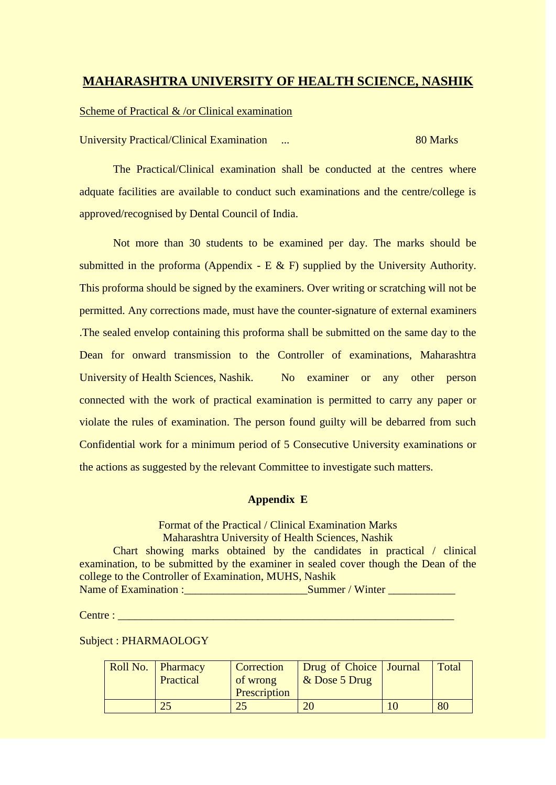## **MAHARASHTRA UNIVERSITY OF HEALTH SCIENCE, NASHIK**

#### Scheme of Practical & /or Clinical examination

University Practical/Clinical Examination ... 80 Marks

The Practical/Clinical examination shall be conducted at the centres where adquate facilities are available to conduct such examinations and the centre/college is approved/recognised by Dental Council of India.

Not more than 30 students to be examined per day. The marks should be submitted in the proforma (Appendix - E  $\&$  F) supplied by the University Authority. This proforma should be signed by the examiners. Over writing or scratching will not be permitted. Any corrections made, must have the counter-signature of external examiners .The sealed envelop containing this proforma shall be submitted on the same day to the Dean for onward transmission to the Controller of examinations, Maharashtra University of Health Sciences, Nashik. No examiner or any other person connected with the work of practical examination is permitted to carry any paper or violate the rules of examination. The person found guilty will be debarred from such Confidential work for a minimum period of 5 Consecutive University examinations or the actions as suggested by the relevant Committee to investigate such matters.

#### **Appendix E**

Format of the Practical / Clinical Examination Marks Maharashtra University of Health Sciences, Nashik Chart showing marks obtained by the candidates in practical / clinical examination, to be submitted by the examiner in sealed cover though the Dean of the college to the Controller of Examination, MUHS, Nashik Name of Examination :\_\_\_\_\_\_\_\_\_\_\_\_\_\_\_\_\_\_\_\_\_\_Summer / Winter \_\_\_\_\_\_\_\_\_\_\_\_

Centre : \_\_\_\_\_\_\_\_\_\_\_\_\_\_\_\_\_\_\_\_\_\_\_\_\_\_\_\_\_\_\_\_\_\_\_\_\_\_\_\_\_\_\_\_\_\_\_\_\_\_\_\_\_\_\_\_\_\_\_\_

Subject : PHARMAOLOGY

| Roll No. Pharmacy<br>Practical | Correction<br>of wrong<br>Prescription | Drug of Choice   Journal<br>$&$ Dose 5 Drug | Total |
|--------------------------------|----------------------------------------|---------------------------------------------|-------|
|                                |                                        |                                             | 80    |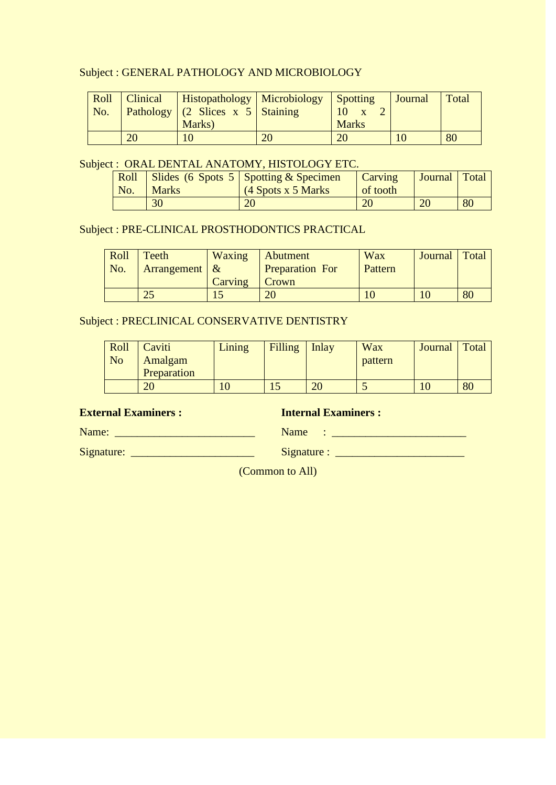## Subject : GENERAL PATHOLOGY AND MICROBIOLOGY

| Roll<br>No. |    | Clinical   Histopathology   Microbiology   Spotting<br>Pathology (2 Slices x 5 Staining |    |              | <b>Journal</b> | Total |
|-------------|----|-----------------------------------------------------------------------------------------|----|--------------|----------------|-------|
|             |    | Marks)                                                                                  |    | <b>Marks</b> |                |       |
|             | 20 | 10                                                                                      | 20 | 20           |                | 80    |

## Subject : ORAL DENTAL ANATOMY, HISTOLOGY ETC.

| No. | <b>Marks</b> | Roll   Slides (6 Spots 5   Spotting & Specimen<br>(4 Spots x 5 Marks) | <b>Carving</b><br>of tooth | <b>Journal</b> Total |    |
|-----|--------------|-----------------------------------------------------------------------|----------------------------|----------------------|----|
|     | 30           |                                                                       | 20                         | 20                   | 80 |

## Subject : PRE-CLINICAL PROSTHODONTICS PRACTICAL

| Roll                         | Teeth            | Waxing  | Abutment               | Wax     | Journal   Total |    |
|------------------------------|------------------|---------|------------------------|---------|-----------------|----|
| $\overline{\phantom{a}}$ No. | Arrangement $\&$ |         | <b>Preparation For</b> | Pattern |                 |    |
|                              |                  | Carving | Crown                  |         |                 |    |
|                              | າ ເ              |         | 20                     |         |                 | 80 |

## Subject : PRECLINICAL CONSERVATIVE DENTISTRY

| Roll | Caviti      | Lining | Filling | $\ln$ lay | <b>Wax</b> | Journal | Total |
|------|-------------|--------|---------|-----------|------------|---------|-------|
| No   | Amalgam     |        |         |           | pattern    |         |       |
|      | Preparation |        |         |           |            |         |       |
|      | 20          |        |         |           | ັ          |         | 80    |

**External Examiners :** Internal Examiners :

Name: \_\_\_\_\_\_\_\_\_\_\_\_\_\_\_\_\_\_\_\_\_\_\_\_\_ Name : \_\_\_\_\_\_\_\_\_\_\_\_\_\_\_\_\_\_\_\_\_\_\_\_

Signature: \_\_\_\_\_\_\_\_\_\_\_\_\_\_\_\_\_\_\_\_\_\_ Signature : \_\_\_\_\_\_\_\_\_\_\_\_\_\_\_\_\_\_\_\_\_\_\_

(Common to All)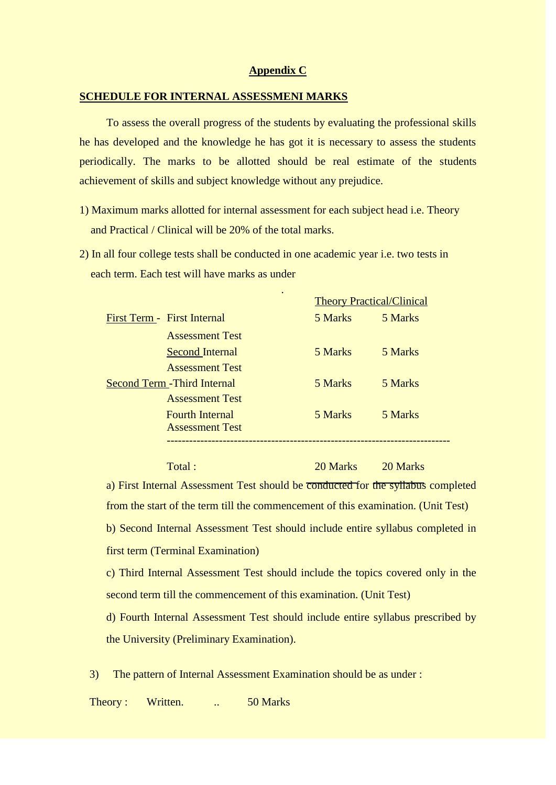#### **Appendix C**

#### **SCHEDULE FOR INTERNAL ASSESSMENI MARKS**

To assess the overall progress of the students by evaluating the professional skills he has developed and the knowledge he has got it is necessary to assess the students periodically. The marks to be allotted should be real estimate of the students achievement of skills and subject knowledge without any prejudice.

- 1) Maximum marks allotted for internal assessment for each subject head i.e. Theory and Practical / Clinical will be 20% of the total marks.
- 2) In all four college tests shall be conducted in one academic year i.e. two tests in each term. Each test will have marks as under

|                                     | $\bullet$ | <b>Theory Practical/Clinical</b> |  |  |
|-------------------------------------|-----------|----------------------------------|--|--|
| First Term - First Internal         | 5 Marks   | 5 Marks                          |  |  |
| <b>Assessment Test</b>              |           |                                  |  |  |
| <b>Second Internal</b>              | 5 Marks   | 5 Marks                          |  |  |
| <b>Assessment Test</b>              |           |                                  |  |  |
| <b>Second Term - Third Internal</b> | 5 Marks   | 5 Marks                          |  |  |
| <b>Assessment Test</b>              |           |                                  |  |  |
| <b>Fourth Internal</b>              | 5 Marks   | 5 Marks                          |  |  |
| <b>Assessment Test</b>              |           |                                  |  |  |

Total : 20 Marks 20 Marks 20 Marks

a) First Internal Assessment Test should be conducted for the syllabus completed from the start of the term till the commencement of this examination. (Unit Test) b) Second Internal Assessment Test should include entire syllabus completed in first term (Terminal Examination)

c) Third Internal Assessment Test should include the topics covered only in the second term till the commencement of this examination. (Unit Test)

d) Fourth Internal Assessment Test should include entire syllabus prescribed by the University (Preliminary Examination).

3) The pattern of Internal Assessment Examination should be as under :

Theory : Written. . 50 Marks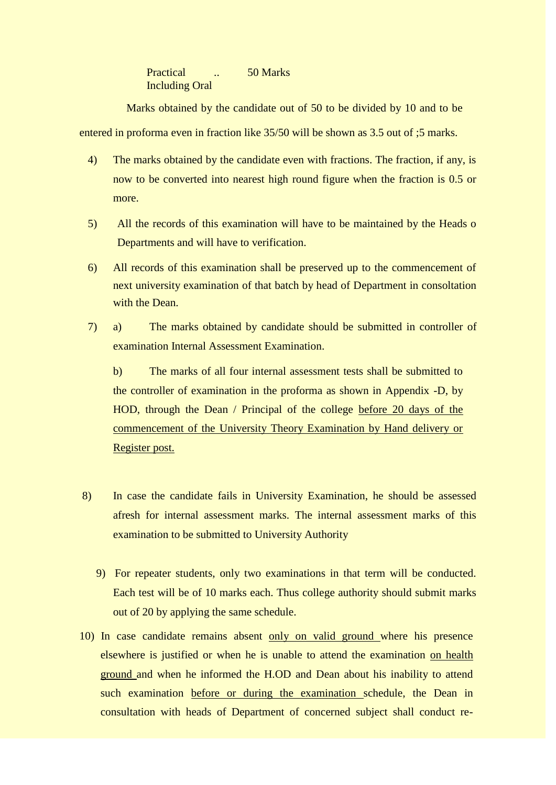Practical ... 50 Marks Including Oral

Marks obtained by the candidate out of 50 to be divided by 10 and to be entered in proforma even in fraction like 35/50 will be shown as 3.5 out of ;5 marks.

- 4) The marks obtained by the candidate even with fractions. The fraction, if any, is now to be converted into nearest high round figure when the fraction is 0.5 or more.
- 5) All the records of this examination will have to be maintained by the Heads o Departments and will have to verification.
- 6) All records of this examination shall be preserved up to the commencement of next university examination of that batch by head of Department in consoltation with the Dean.
- 7) a) The marks obtained by candidate should be submitted in controller of examination Internal Assessment Examination.

b) The marks of all four internal assessment tests shall be submitted to the controller of examination in the proforma as shown in Appendix -D, by HOD, through the Dean / Principal of the college before 20 days of the commencement of the University Theory Examination by Hand delivery or Register post.

- 8) In case the candidate fails in University Examination, he should be assessed afresh for internal assessment marks. The internal assessment marks of this examination to be submitted to University Authority
	- 9) For repeater students, only two examinations in that term will be conducted. Each test will be of 10 marks each. Thus college authority should submit marks out of 20 by applying the same schedule.
- 10) In case candidate remains absent only on valid ground where his presence elsewhere is justified or when he is unable to attend the examination on health ground and when he informed the H.OD and Dean about his inability to attend such examination before or during the examination schedule, the Dean in consultation with heads of Department of concerned subject shall conduct re-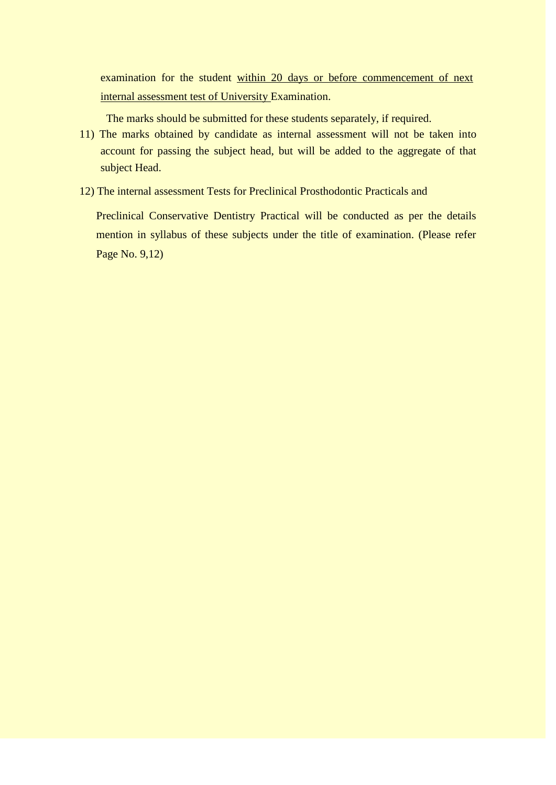examination for the student within 20 days or before commencement of next internal assessment test of University Examination.

The marks should be submitted for these students separately, if required.

- 11) The marks obtained by candidate as internal assessment will not be taken into account for passing the subject head, but will be added to the aggregate of that subject Head.
- 12) The internal assessment Tests for Preclinical Prosthodontic Practicals and

 Preclinical Conservative Dentistry Practical will be conducted as per the details mention in syllabus of these subjects under the title of examination. (Please refer Page No. 9,12)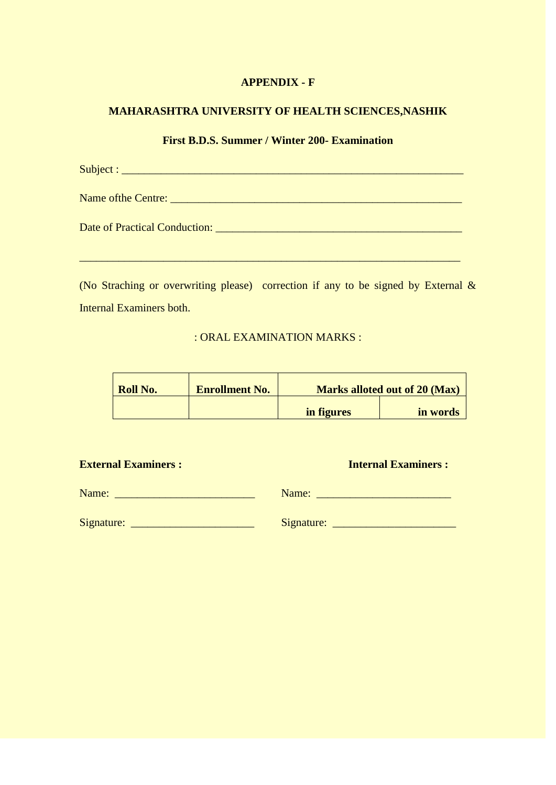## **APPENDIX - F**

## **MAHARASHTRA UNIVERSITY OF HEALTH SCIENCES,NASHIK**

## **First B.D.S. Summer / Winter 200- Examination**

(No Straching or overwriting please) correction if any to be signed by External  $\&$ Internal Examiners both.

## : ORAL EXAMINATION MARKS :

| <b>Roll No.</b> | <b>Enrollment No.</b> |            | <b>Marks alloted out of 20 (Max)</b> |
|-----------------|-----------------------|------------|--------------------------------------|
|                 |                       | in figures | in words                             |

| <b>Internal Examiners:</b> |
|----------------------------|
|                            |
|                            |
|                            |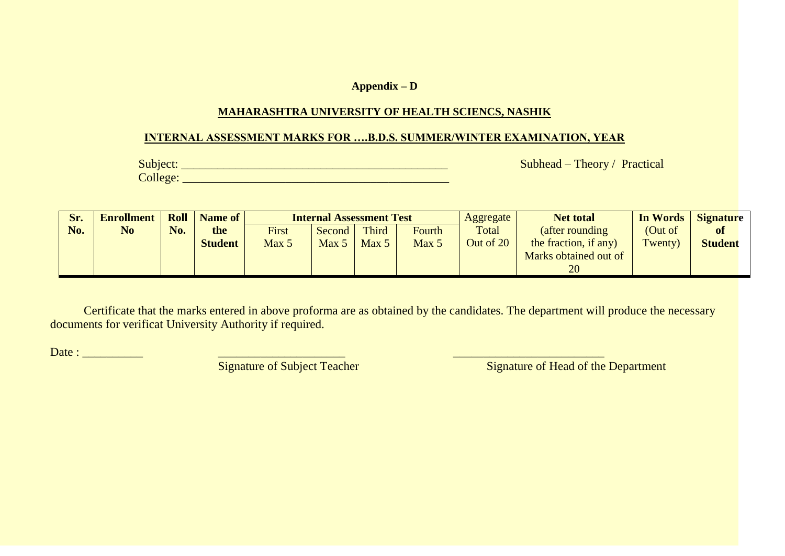### **Appendix – D**

## **MAHARASHTRA UNIVERSITY OF HEALTH SCIENCS, NASHIK**

#### **INTERNAL ASSESSMENT MARKS FOR ….B.D.S. SUMMER/WINTER EXAMINATION, YEAR**

College: \_\_\_\_\_\_\_\_\_\_\_\_\_\_\_\_\_\_\_\_\_\_\_\_\_\_\_\_\_\_\_\_\_\_\_\_\_\_\_\_\_\_\_\_

Subject: \_\_\_\_\_\_\_\_\_\_\_\_\_\_\_\_\_\_\_\_\_\_\_\_\_\_\_\_\_\_\_\_\_\_\_\_\_\_\_\_\_\_\_\_ Subhead – Theory / Practical

| Sr. | Enrollment   Roll |     | Name of        |       | <b>Internal Assessment Test</b> |                  |        | Aggregate | <b>Net total</b>      | In Words | <b>Signature</b> |
|-----|-------------------|-----|----------------|-------|---------------------------------|------------------|--------|-----------|-----------------------|----------|------------------|
| No. | No                | No. | the            | First | Second                          | Third            | Fourth | Total     | (after rounding)      | (Out of  | <b>of</b>        |
|     |                   |     | <b>Student</b> | Max 5 | Max 5                           | Max <sub>5</sub> | Max 5  | Out of 20 | the fraction, if any) | Twenty)  | <b>Student</b>   |
|     |                   |     |                |       |                                 |                  |        |           | Marks obtained out of |          |                  |
|     |                   |     |                |       |                                 |                  |        |           | 20                    |          |                  |

Certificate that the marks entered in above proforma are as obtained by the candidates. The department will produce the necessary documents for verificat University Authority if required.

Date : \_\_\_\_\_\_\_\_\_\_ \_\_\_\_\_\_\_\_\_\_\_\_\_\_\_\_\_\_\_\_\_ \_\_\_\_\_\_\_\_\_\_\_\_\_\_\_\_\_\_\_\_\_\_\_\_\_

Signature of Head of the Department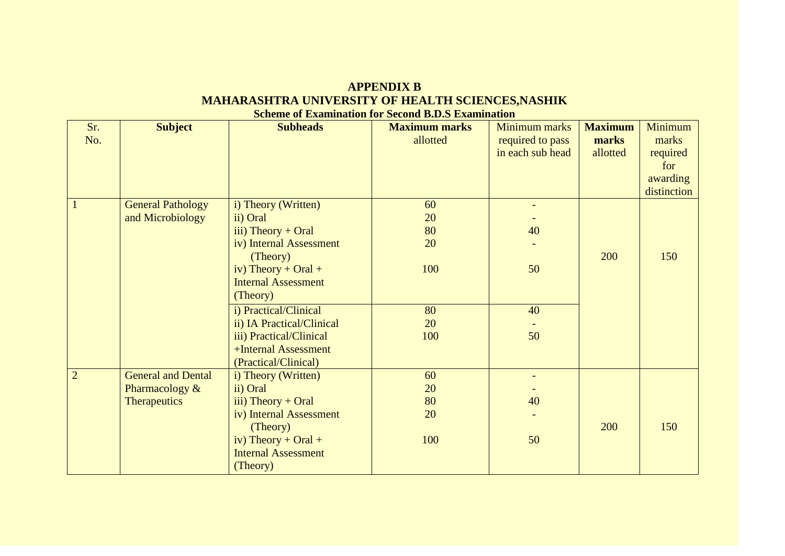## **APPENDIX B MAHARASHTRA UNIVERSITY OF HEALTH SCIENCES,NASHIK Scheme of Examination for Second B.D.S Examination**

| Sr.            | <b>Subject</b>            | <b>Subheads</b>            | <b>Maximum marks</b> | <b>Minimum marks</b> | <b>Maximum</b> | Minimum     |
|----------------|---------------------------|----------------------------|----------------------|----------------------|----------------|-------------|
| No.            |                           |                            | allotted             | required to pass     | marks          | marks       |
|                |                           |                            |                      | in each sub head     | allotted       | required    |
|                |                           |                            |                      |                      |                | for         |
|                |                           |                            |                      |                      |                | awarding    |
|                |                           |                            |                      |                      |                | distinction |
| $\mathbf{1}$   | <b>General Pathology</b>  | i) Theory (Written)        | 60                   |                      |                |             |
|                | and Microbiology          | ii) Oral                   | 20                   |                      |                |             |
|                |                           | iii) Theory $+$ Oral       | 80                   | 40                   |                |             |
|                |                           | iv) Internal Assessment    | 20                   |                      |                |             |
|                |                           | (Theory)                   |                      |                      | 200            | 150         |
|                |                           | iv) Theory + Oral +        | 100                  | 50                   |                |             |
|                |                           | <b>Internal Assessment</b> |                      |                      |                |             |
|                |                           | (Theory)                   |                      |                      |                |             |
|                |                           | i) Practical/Clinical      | 80                   | 40                   |                |             |
|                |                           | ii) IA Practical/Clinical  | 20                   |                      |                |             |
|                |                           | iii) Practical/Clinical    | 100                  | 50                   |                |             |
|                |                           | +Internal Assessment       |                      |                      |                |             |
|                |                           | (Practical/Clinical)       |                      |                      |                |             |
| $\overline{2}$ | <b>General and Dental</b> | i) Theory (Written)        | 60                   |                      |                |             |
|                | Pharmacology &            | ii) Oral                   | 20                   |                      |                |             |
|                | Therapeutics              | iii) Theory $+$ Oral       | 80                   | 40                   |                |             |
|                |                           | iv) Internal Assessment    | 20                   |                      |                |             |
|                |                           | (Theory)                   |                      |                      | 200            | 150         |
|                |                           | iv) Theory + Oral +        | 100                  | 50                   |                |             |
|                |                           | <b>Internal Assessment</b> |                      |                      |                |             |
|                |                           | (Theory)                   |                      |                      |                |             |